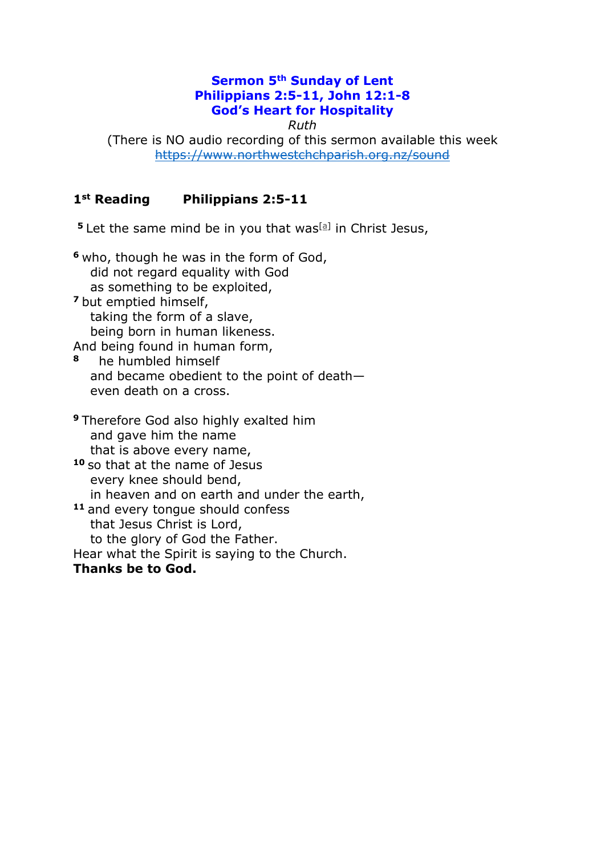### **Sermon 5th Sunday of Lent Philippians 2:5-11, John 12:1-8 God's Heart for Hospitality**

*Ruth*

(There is NO audio recording of this sermon available this week <https://www.northwestchchparish.org.nz/sound>

### **1st Reading Philippians 2:5-11**

**5** Let the same mind be in you that was<sup>[\[a\]](https://www.biblegateway.com/passage/?search=Philippians+2&version=NRSV#fen-NRSV-29380a)</sup> in Christ Jesus,

**<sup>6</sup>** who, though he was in the form of God, did not regard equality with God as something to be exploited, **<sup>7</sup>** but emptied himself, taking the form of a slave, being born in human likeness. And being found in human form, **<sup>8</sup>** he humbled himself and became obedient to the point of death even death on a cross. **<sup>9</sup>** Therefore God also highly exalted him and gave him the name that is above every name, **<sup>10</sup>** so that at the name of Jesus every knee should bend, in heaven and on earth and under the earth, **<sup>11</sup>** and every tongue should confess that Jesus Christ is Lord, to the glory of God the Father. Hear what the Spirit is saying to the Church. **Thanks be to God.**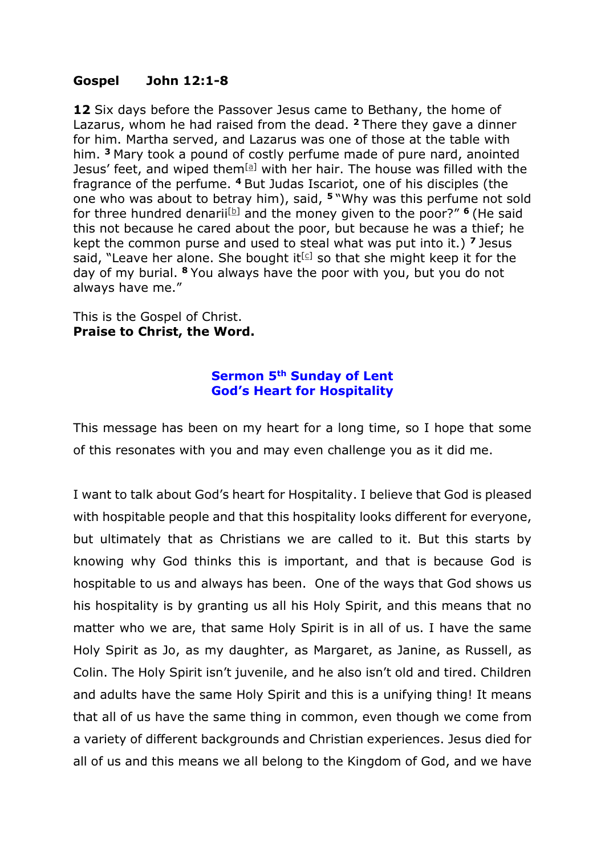### **Gospel John 12:1-8**

**12** Six days before the Passover Jesus came to Bethany, the home of Lazarus, whom he had raised from the dead. **<sup>2</sup>** There they gave a dinner for him. Martha served, and Lazarus was one of those at the table with him. **<sup>3</sup>** Mary took a pound of costly perfume made of pure nard, anointed Jesus' feet, and wiped them $[<sup>a</sup>]$  with her hair. The house was filled with the fragrance of the perfume. **<sup>4</sup>** But Judas Iscariot, one of his disciples (the one who was about to betray him), said, **<sup>5</sup>** "Why was this perfume not sold for three hundred denarii<sup>[\[b\]](https://www.biblegateway.com/passage/?search=John+12&version=NRSV#fen-NRSV-26575b)</sup> and the money given to the poor?"  $\frac{6}{1}$  (He said this not because he cared about the poor, but because he was a thief; he kept the common purse and used to steal what was put into it.) **<sup>7</sup>** Jesus said, "Leave her alone. She bought it  $[c]$  so that she might keep it for the day of my burial. **<sup>8</sup>** You always have the poor with you, but you do not always have me."

This is the Gospel of Christ. **Praise to Christ, the Word.**

#### **Sermon 5th Sunday of Lent God's Heart for Hospitality**

This message has been on my heart for a long time, so I hope that some of this resonates with you and may even challenge you as it did me.

I want to talk about God's heart for Hospitality. I believe that God is pleased with hospitable people and that this hospitality looks different for everyone, but ultimately that as Christians we are called to it. But this starts by knowing why God thinks this is important, and that is because God is hospitable to us and always has been. One of the ways that God shows us his hospitality is by granting us all his Holy Spirit, and this means that no matter who we are, that same Holy Spirit is in all of us. I have the same Holy Spirit as Jo, as my daughter, as Margaret, as Janine, as Russell, as Colin. The Holy Spirit isn't juvenile, and he also isn't old and tired. Children and adults have the same Holy Spirit and this is a unifying thing! It means that all of us have the same thing in common, even though we come from a variety of different backgrounds and Christian experiences. Jesus died for all of us and this means we all belong to the Kingdom of God, and we have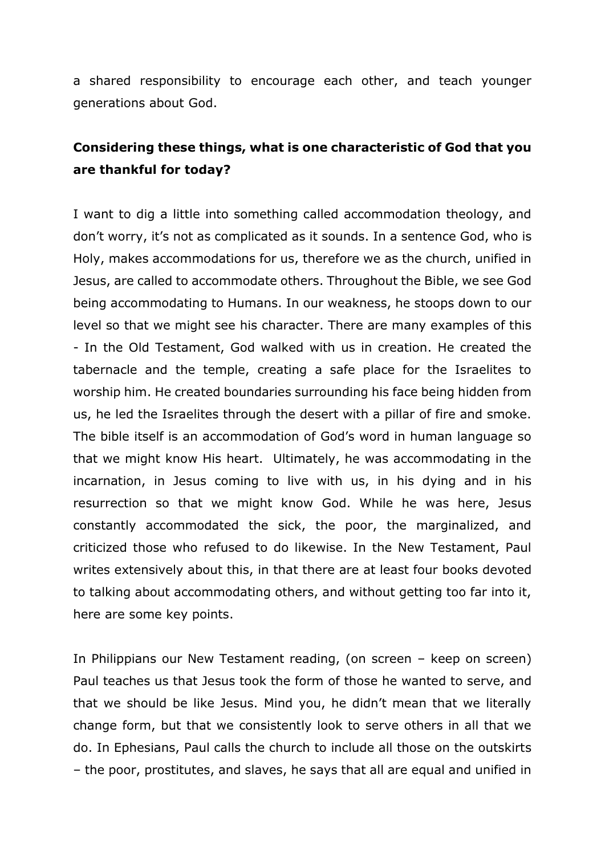a shared responsibility to encourage each other, and teach younger generations about God.

### **Considering these things, what is one characteristic of God that you are thankful for today?**

I want to dig a little into something called accommodation theology, and don't worry, it's not as complicated as it sounds. In a sentence God, who is Holy, makes accommodations for us, therefore we as the church, unified in Jesus, are called to accommodate others. Throughout the Bible, we see God being accommodating to Humans. In our weakness, he stoops down to our level so that we might see his character. There are many examples of this - In the Old Testament, God walked with us in creation. He created the tabernacle and the temple, creating a safe place for the Israelites to worship him. He created boundaries surrounding his face being hidden from us, he led the Israelites through the desert with a pillar of fire and smoke. The bible itself is an accommodation of God's word in human language so that we might know His heart. Ultimately, he was accommodating in the incarnation, in Jesus coming to live with us, in his dying and in his resurrection so that we might know God. While he was here, Jesus constantly accommodated the sick, the poor, the marginalized, and criticized those who refused to do likewise. In the New Testament, Paul writes extensively about this, in that there are at least four books devoted to talking about accommodating others, and without getting too far into it, here are some key points.

In Philippians our New Testament reading, (on screen – keep on screen) Paul teaches us that Jesus took the form of those he wanted to serve, and that we should be like Jesus. Mind you, he didn't mean that we literally change form, but that we consistently look to serve others in all that we do. In Ephesians, Paul calls the church to include all those on the outskirts – the poor, prostitutes, and slaves, he says that all are equal and unified in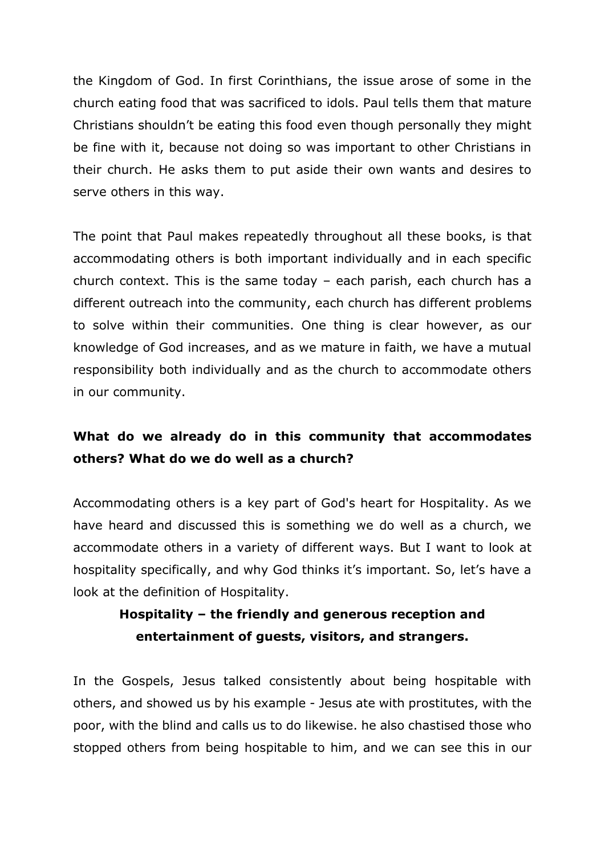the Kingdom of God. In first Corinthians, the issue arose of some in the church eating food that was sacrificed to idols. Paul tells them that mature Christians shouldn't be eating this food even though personally they might be fine with it, because not doing so was important to other Christians in their church. He asks them to put aside their own wants and desires to serve others in this way.

The point that Paul makes repeatedly throughout all these books, is that accommodating others is both important individually and in each specific church context. This is the same today – each parish, each church has a different outreach into the community, each church has different problems to solve within their communities. One thing is clear however, as our knowledge of God increases, and as we mature in faith, we have a mutual responsibility both individually and as the church to accommodate others in our community.

# **What do we already do in this community that accommodates others? What do we do well as a church?**

Accommodating others is a key part of God's heart for Hospitality. As we have heard and discussed this is something we do well as a church, we accommodate others in a variety of different ways. But I want to look at hospitality specifically, and why God thinks it's important. So, let's have a look at the definition of Hospitality.

# **Hospitality – the friendly and generous reception and entertainment of guests, visitors, and strangers.**

In the Gospels, Jesus talked consistently about being hospitable with others, and showed us by his example - Jesus ate with prostitutes, with the poor, with the blind and calls us to do likewise. he also chastised those who stopped others from being hospitable to him, and we can see this in our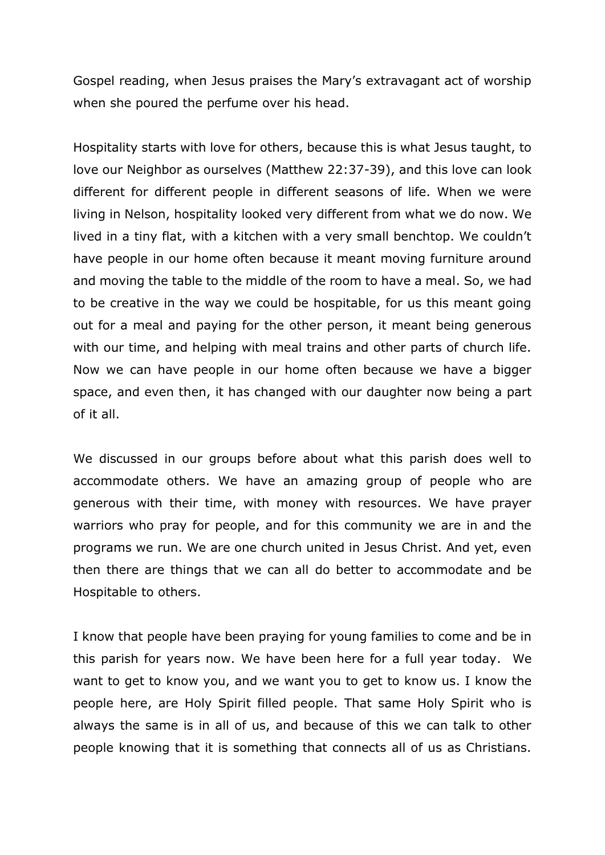Gospel reading, when Jesus praises the Mary's extravagant act of worship when she poured the perfume over his head.

Hospitality starts with love for others, because this is what Jesus taught, to love our Neighbor as ourselves (Matthew 22:37-39), and this love can look different for different people in different seasons of life. When we were living in Nelson, hospitality looked very different from what we do now. We lived in a tiny flat, with a kitchen with a very small benchtop. We couldn't have people in our home often because it meant moving furniture around and moving the table to the middle of the room to have a meal. So, we had to be creative in the way we could be hospitable, for us this meant going out for a meal and paying for the other person, it meant being generous with our time, and helping with meal trains and other parts of church life. Now we can have people in our home often because we have a bigger space, and even then, it has changed with our daughter now being a part of it all.

We discussed in our groups before about what this parish does well to accommodate others. We have an amazing group of people who are generous with their time, with money with resources. We have prayer warriors who pray for people, and for this community we are in and the programs we run. We are one church united in Jesus Christ. And yet, even then there are things that we can all do better to accommodate and be Hospitable to others.

I know that people have been praying for young families to come and be in this parish for years now. We have been here for a full year today. We want to get to know you, and we want you to get to know us. I know the people here, are Holy Spirit filled people. That same Holy Spirit who is always the same is in all of us, and because of this we can talk to other people knowing that it is something that connects all of us as Christians.